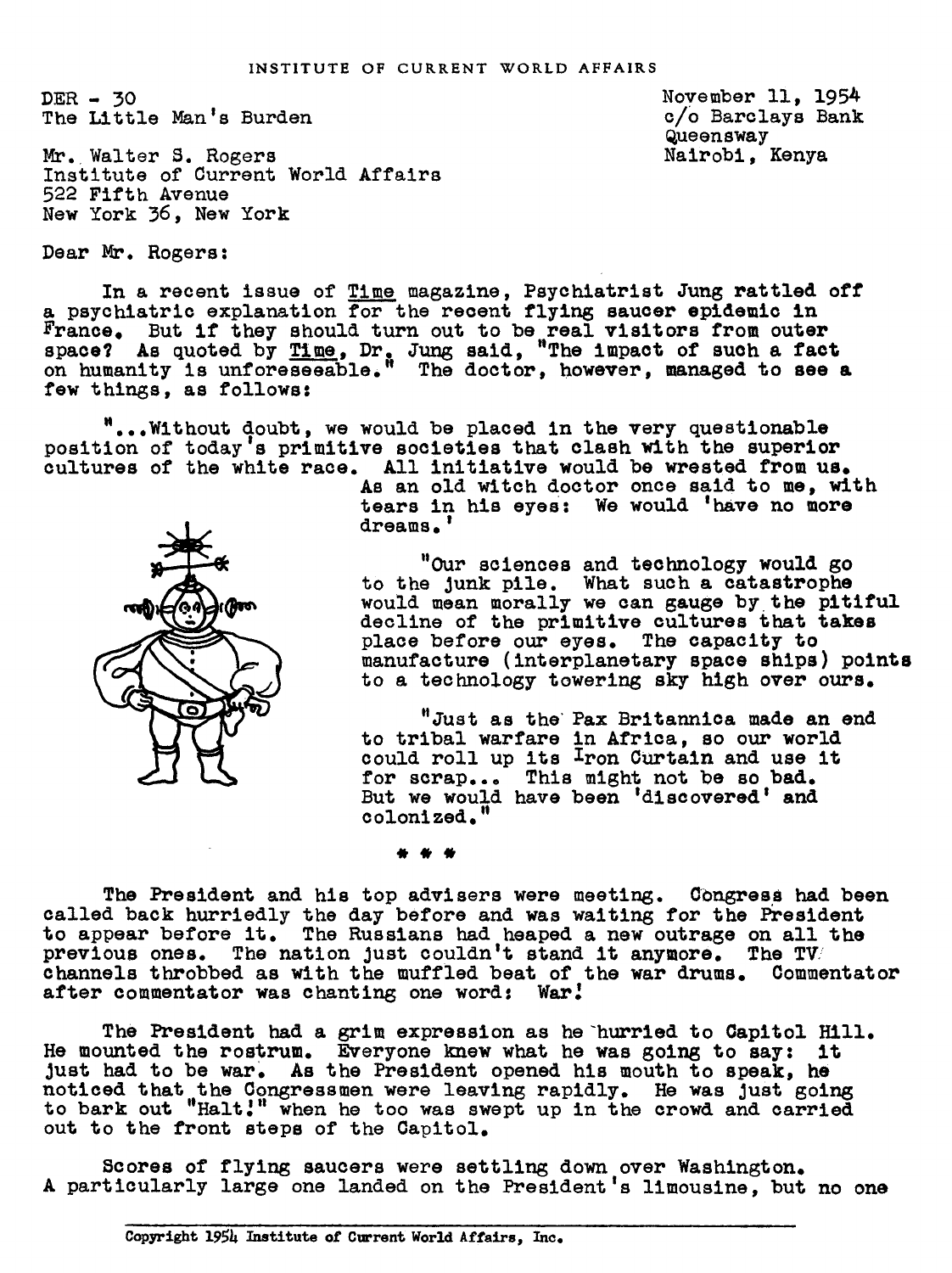DER- 30 The Little Nan' Burden

Mr. Walter S. Rogers Institute of Current World Affairs 522 Fifth Avenue New York 36, New York

Dear Mr. Rogers:

In a recent issue of Time magazine, Psychiatrist Jung rattled off psychiatric explanation for the recent flying saucer epidemic in ance. But if they should turn out to be real visitors from outer space? As quoted by Time, Dr. Jung said, "The impact of such a fact on humanity is unforeseeable, The doctor, however, managed to see a few things, as follows:

"...Nithout doubt, we would be placed in the very questionable position of today's primitive societies that clash with the superior cultures of the white race. All initiative would be wrested from us.

As an old witch doctor once said to me, with tears in his eyes: We would 'have no more dreams.

"Our sciences and technology would go to the Junk pile. What such a catastrophe would mean morally we can gauge by. the pitiful decline of the primitive cultures that takes place before our eyes. The capacity to manufacture (interplanetary space ships) points to a technology towering sky high over ours.

"Just as the' Pax Britannica made an end to tribal warfare in Africa, so our world could roll up its Iron CUrtain and use it for scrap... This might not be so bad. But we would have been 'discovered' and colonized."

The President and his top advisers were meeting. Congress had been called back hurriedly the day before and was waiting for the President to appear before it. The Russians had heaped a new outrage on all the previous ones. The nation Just couldn't stand it anymore. The TW channels throbbed as with the muffled beat of the war drums. Commentator after commentator was chanting one word: War.'

The President had a grim expression as he "hurried to 0apitol Hill. He mounted the rostrum. Everyone knew what he was going to say: it Just had to be war. As the President opened his mouth to speak, he noticed that the Congressmen were leaving rapidly. He was just going to bark out "Halt!" when he too was swept up in the crowd and carried out to the front steps of the Capitol.

Scores of flying saucers were settling down over Washinston. A particularly large one landed on the President's limousine, but no one



November ll, 1954 c/0 Barclays Bank Queensway Nairobi, Kenya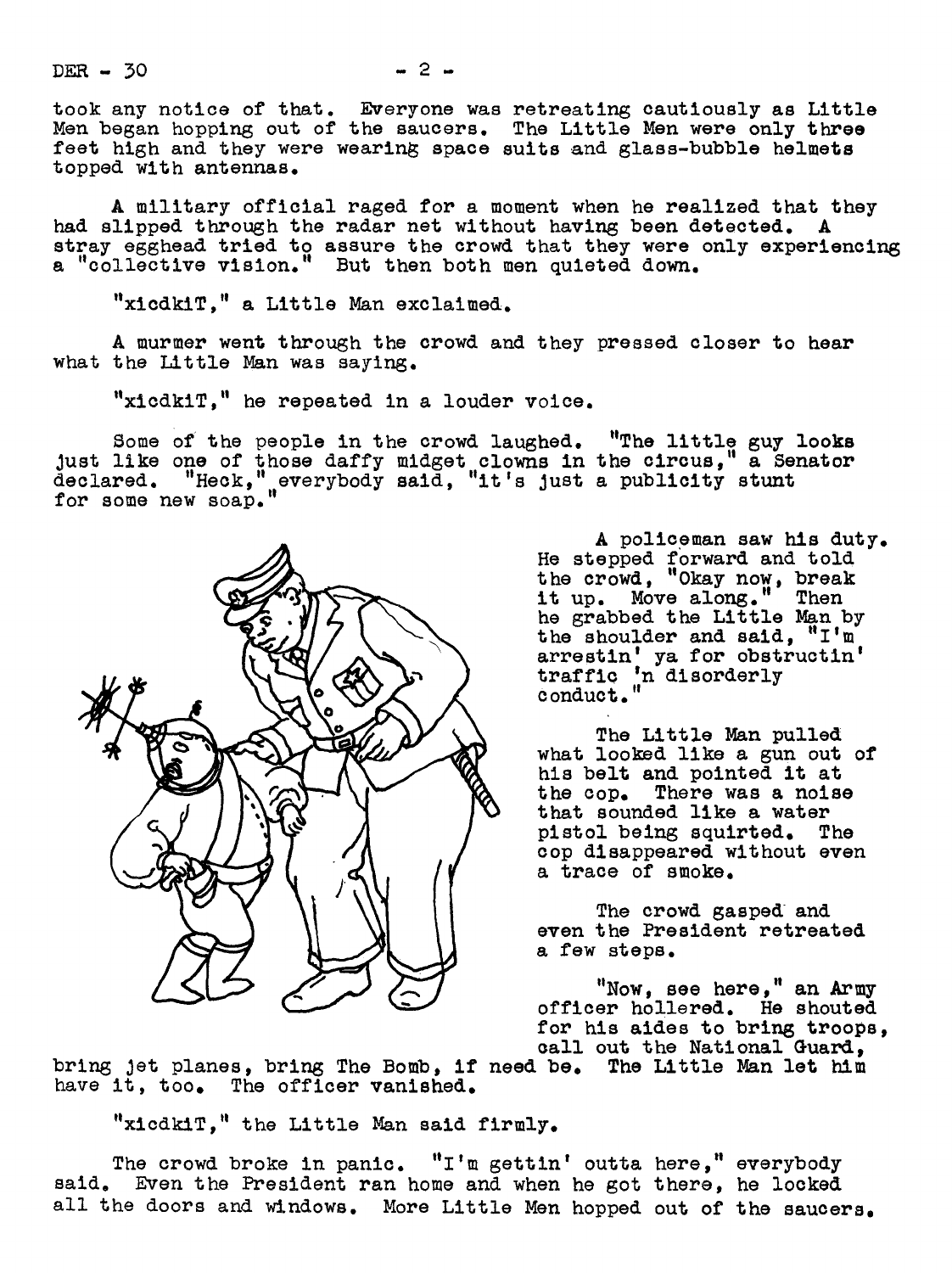$DER - 30$ 

took any notice of that. Everyone was retreating cautiously as Little Men began hopping out of the saucers. The Little Men were only three feet high and they were wearing space suits and glass-bubble helmets topped with antennas.

A military official raged for a moment when he realized that they had slipped through the radar net without having been detected. A stray egghead tried to assure the crowd that they were only experiencing a "collective vision." But then both men quieted down.

"xicdkiT," a Little Man exclaimed.

A murmer went through the crowd and they pressed closer to hear what the Little Man was saying.

"xicdkIT, he repeated in a louder voice.

Some of the people in the crowd laughed. "The little guy looks Just like one of those daffy midget clowns in the circus, a Senator declared. "Heck," everybody said, "it's just a publicity stunt for some new soap.



A policeman saw his duty. He stepped forward and told t he crowd, "Okay now, break it up. Move along." Then he grabbed the Little Nan by the shoulder and said, "I'm arrestin' ya for obstructln' traffic 'n dlsorderly C onduct."

The Little Man pulled what looked like a gun out of his belt and pointed it at the cop. There was a noise that sounded like a water pistol being squirted. The cop disappeared without even a trace of smoke.

The crowd gasped and even the President retreated a few steps.

"Now, see here," an Army officer hollered. He shouted for his aides to bring troops, call out the National Guard,

bring Jet planes, bring The Bomb, if need be. The Little Man let him have it, too. The officer vanished.

"xicdkiT," the Little Man said firmly.

The crowd broke in panic.  $"I'''$  gettin' outta here," everybody said. Even the President ran home and when he got there, he locked all the doors and windows. More Little Men hopped out of the saucers.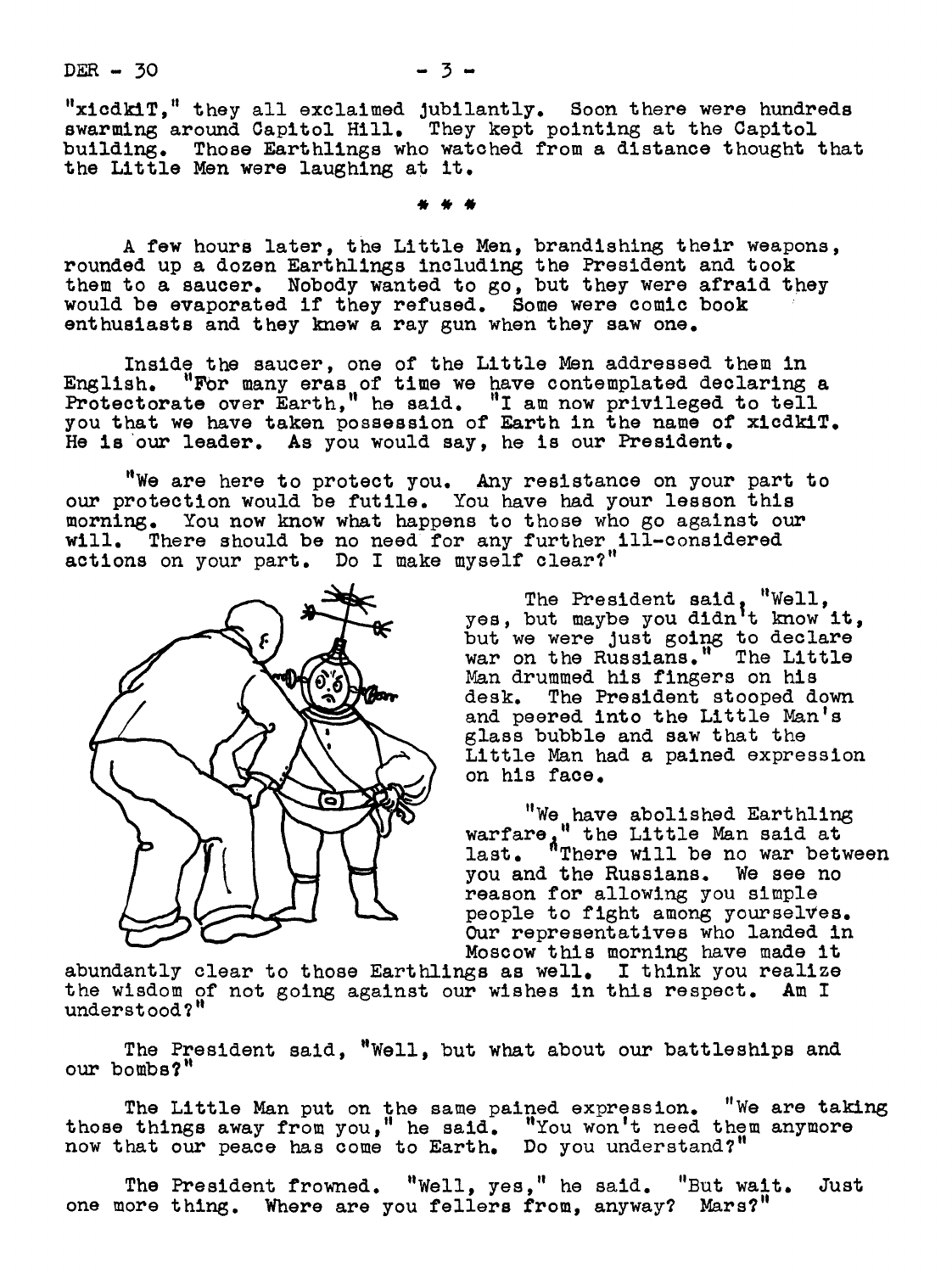"xicdkiT," they all exclaimed Jubilantly. Boon there were hundreds swarming around Capitol Hill. They kept pointing at the Capitol building. Those Earthlings who watched from a distance thought that the Little Men were laughing at it.

A few hours later, the Little Men, brandishing their weapons, rounded up a dozen Earthlings including the President and took them to a saucer. Nobody wanted to go, but they were afraid they would be evaporated if they refused. Some were comic book enthusiasts and they knew a ray gun when they saw one.

Inside the saucer, one of the Little Men addressed them in English. "For many eras of time we have contemplated declaring a Protectorate over Earth," he said. "I am now privileged to tell you that we have taken possession of Earth in the name of xicdkiT. He is our leader. As you would say, he is our President.

"We are here to protect you. Any resistance on your part to our protection would be futile. You have had your lesson this morning. You now know what happens to those who go against our will. There should be no need for any further ill-considered actions on your part. Do I make myself clear?"



The President said "Well, yes, but maybe you didn|t know it, but we were just going to declare war on the Russians. The Little Man drummed his fingers on his desk. The President stooped down and peered into the Little Man's glass bubble and saw that the Little Man had a pained expression on his face.

"We have abolished Earthling warfare." the Little Man said at last. "There will be no war between you and the Russians. We see no reason for allowing you simple people to fight among yourselves. Our representatives who landed in Moscow this morning have made it

abundantly clear to those Earthlings as well. I think you realize the wisdom of not going against our wishes in this respect. Am I understood?"

The President said, "Well, but what about our battleships and our bombs?"

The Little Man put on the same pained expression. "We are taking those things away from you," he said. "You won't need them anymore now that our peace has come to Earth. Do you understand?"

The President frowned. "Well, yes," he said. "But wait. Just one more thing. Where are you fellers from, anyway? Mars?"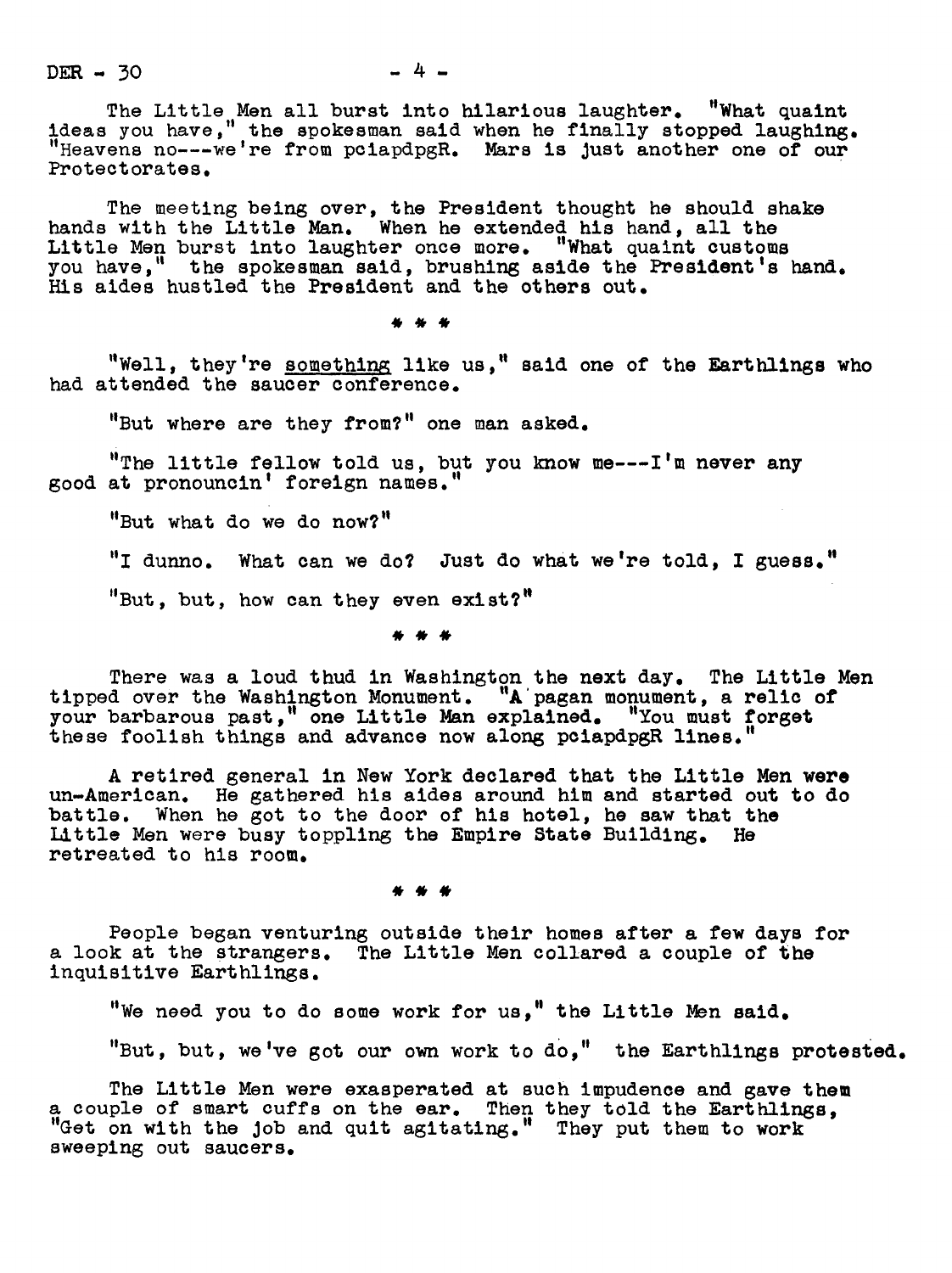$DER - 30$   $- 4 -$ 

The Little Men all burst into hilarious laughter. "What quaint ideas you have," the spokesman said when he finally stopped laughing.<br>"Heavens no---we're from pciapdpgR. Mars is just another one of our Protectorates.

The meeting being over, the President thought he should shake hands with the Little Man. When he extended his hand, all the Little Men burst into laughter once more. "What quaint customs you have," the spokesman said, brushing aside the President's hand. His aides hustled the President and the others out.

"Well, they're something like us," said one of the Earthlings who had attended the saucer conference.

"But where are they from?" one man asked.

"The little fellow told us, but you know me---I'm never any good at pronouncin' foreign names.

"But what do we do now?"

"I dunno. What can we do? Just do what we're told, I guess."

"But, but, how can they even exist?"

There was a loud thud in Washington the next day. The Little Men tipped over the Washington Monument. "A'pagan monument, a relic of your barbarous past," one Little Man explained. "You must forget these foolish things and advance now along pciapdpgR lines."

A retired general in New York declared that the Little Men were un-American. He gathered his aides around him and started out to do battle. When he got to the door of his hotel, he saw that the Little Men were busy toppling the Empire State Building. He retreated to his room.

People began venturing outside their homes after a few days for a look at the strangers. The Little Men collared a couple of the inquisitive Earthllngs.

"We need you to do some work for us," the Little Men said.

"But, but, we've got our own work to do," the Earthlings protested.

The Little Men were exasperated at such impudence and gave them a couple of smart cuffs on the ear. Then they told the Earthlings, "Get on with the job and quit agitating." They put them to work sweeping out saucers.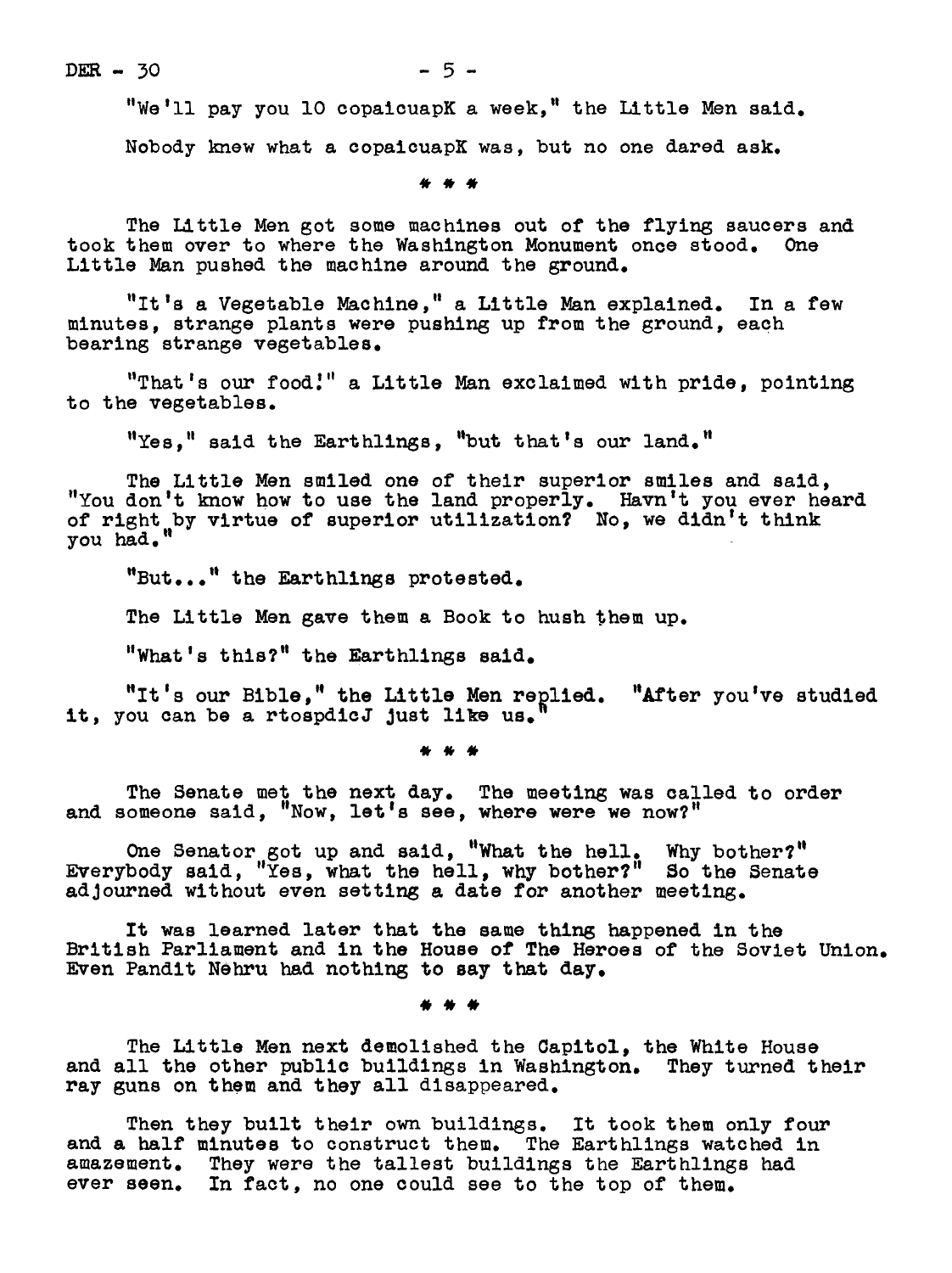$DER - 30$  - 5 -

"We'll pay you 10 copaicuapK a week," the Little Men said. Nobody knew what a copaicuapE was, but no one dared ask.

The Little Men got some machines out of the flying saucers and took them over to where the Washington Monument once stood. One Little Man pushed the machine around the ground.

"It's a Vegetable Machine," a Little Man explained. In a few minutes, strange plants were pushing up from the ground, each bearing strange vegetables.

 $"That's our food."$  a Little Man exclaimed with  $pride$ ,  $pointing$ to the vegetables.

"Yes." said the Earthlings, "but that's our land."

The Little Men smiled one of their superior smiles and said, "You don't know how to use the land properly. Havn't you ever heard of right by virtue of superior utilization? No, we didn't think you had."

"But..." the Earthlings protested.

The Little Men gave them a Book to hush them up.

"What's this?" the Earthlings said.

"It's our Bible," the Little Men replied. "After you've studied it, you can be a rtospdicJ just like us.

. . .

The Senate met the next day. The meeting was called to order and someone said, "Now, let's see, where were we now?"

One Senator got up and said, "What the hell. Why bother?" Everybody said, "Yes, what the hell, why bother?" So the Senate adjourned without even setting a date for another meeting.

It was learned later that the same thing happened in the British Parliament and in the House of The Heroes of the Soviet Union. Even Pandit Nehru had nothing to say that day.

The Little Men next demolished the Capitol, the White House and all the other public buildings in Washington. They turned their ray guns on them and they all disappeared.

Then they built their own buildings. It took them only four and a half minutes to construct them. The Earthlings watched in amazement. They were the tallest buildings the Earthlings had ever seen. In fact, no one could see to the top of them.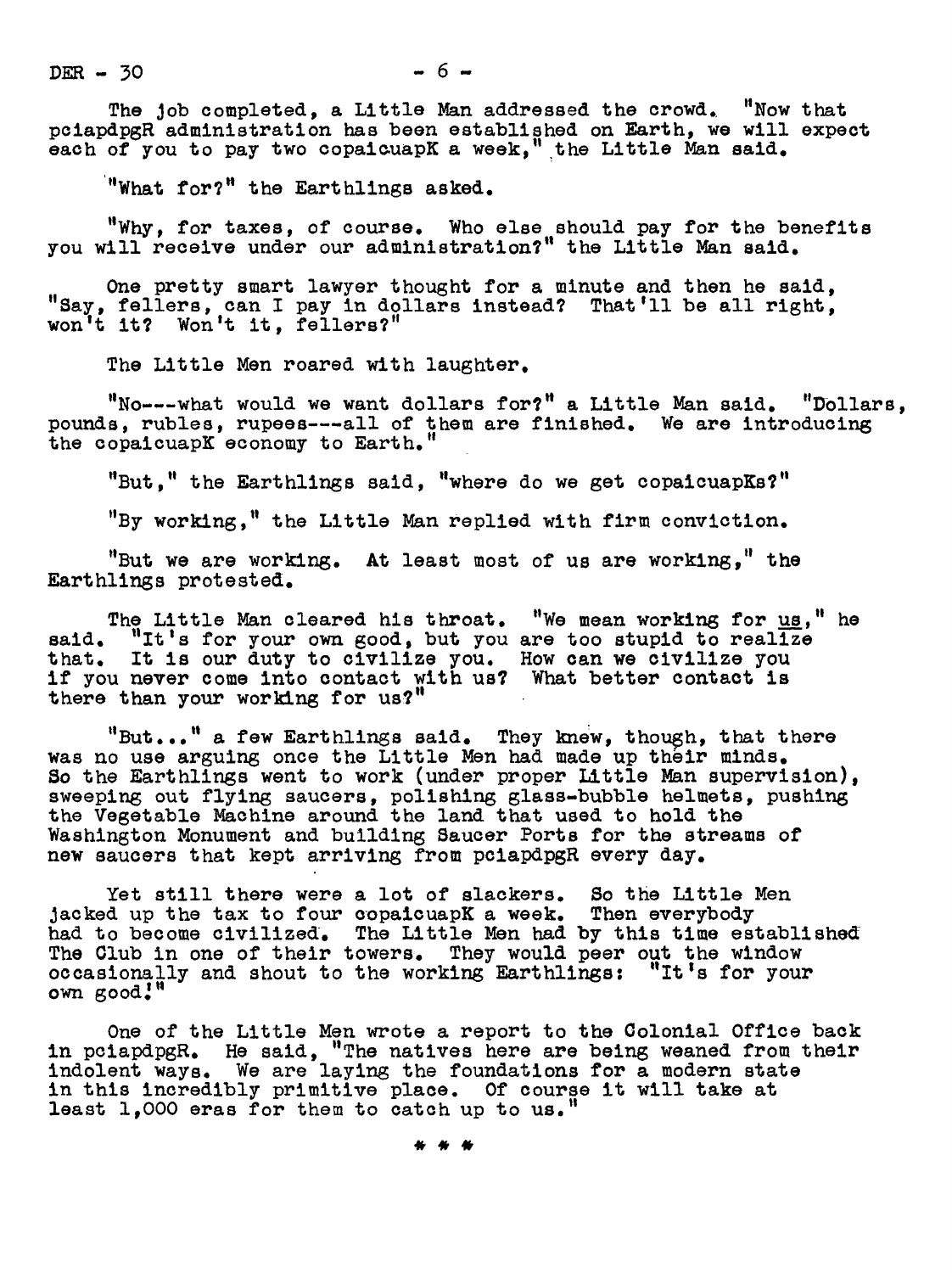$DER - 30 - 6 -$ 

The Job completed, a Little Man addressed the crowd.. "Now that pclapdpgR administration has been established on Earth, we will expect each of you to pay two copaicuapK a week," the Little Man said.

'"What for?" the Earthlin8s asked.

"Why, for taxes, of course. Who else should pay for the benefits you will receive under our administratlen?" the Little Nan said.

One pretty smart lawyer thought for a minute and then he said, "Say, fellers, can I pay in dollars instead? That'll be all right, won't it? Won't it, fellers?"

The Little Men roared with laughter.

"No---what would we want dollars for?" a Little Man said. "Dollars, pounds, rubles, rupees---all of them are finished. We are introducing the copaicuapK economy to Earth."

"But," the Earthlings said, "where do we get copaicuapKs?"

"By working," the Little Man replied with firm conviction.

"But we are working. At least most of us are working," the Eart hlings protested.

The Little Man cleared his throat. "We mean working for <u>us</u>," he said. "It's for your own good, but you are too stupid to realize that. It is our duty to civilize you. How can we civilize you if you never come into contact with us? What better contact is there than your working for us?"

"But..." a few Earthlings said. They knew, though, that there was no use arguing once the Little Men had made up their minds. So the Earthlings went to work (under proper Little Man supervision). sweeping out flying saucers, polishing glass-bubble helmets, pushing the Vegetable Machine around the land that used to hold the Washington Monument and building Saucer Ports for the streams of new saucers that kept arriving from pclapdpgR every day.

Yet still there were a lot of slackers. So the Little Men Jacked up the tax to four copalcuapK a week. Then everybody had to become civilized. The Little Men had by this time established The Club in one of their towers. They would peer out the window occasionally and shout to the working Earthlings: "It's for your own good.'"

One of the Little Men wrote a report to the Colonial Office back in pciapdpgR. He said, "The natives here are beir weaned from their indolent ways. We are laying the foundations for a modern state in this incredibly primitive place. Of course it will take at least 1,O00 eras for them to catch up to us.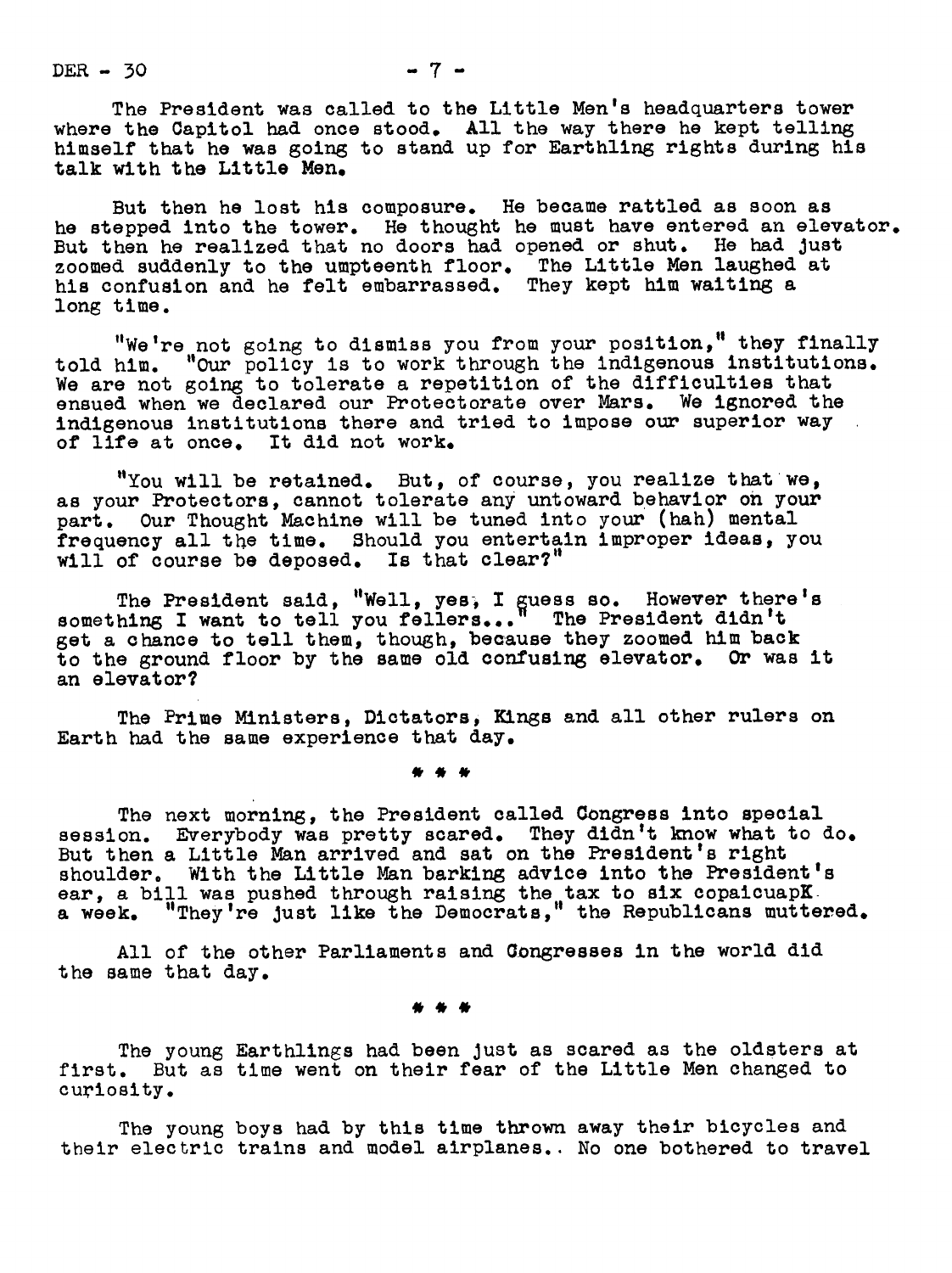DER  $-30$   $-7$   $-$ 

The President was called to the Little Men's headquarters tower where the Capitol had once stood. All the way there he kept tellin himself that he was going to stand up for Earthling rights during his talk with the Little Men.

But then he lost his composure. He became rattled as soon as he stepped into the tower. He thought he must have entered an elevator. But then he realized that no doors had opened or shut. He had Just zoomed suddenly to the umpteenth floor. The Little Men laughed at his confusion and he felt embarrassed. They kept him waiting a long time.

"We're not going to dismiss you from your position," they finally told him. "Our policy is to work through the indigenous institutions. We are not going to tolerate a repetition of the difficulties that ensued when we declared our Protectorate over Mars. We ignored the indigenous institutions there and tried to impose our superior way of life at once. It did not work.

"You will be retained. But, of course, you realize that we, as your Protectors, cannot tolerate any untoward behavior on your part. our Thought Machine will be tuned into your (hah) mental frequency all the time. Should you entertain improper ideas, you will of course be deposed. Is that clear?"

The President said, "Well, yes, I guess so. However there's<br>something I want to tell you fellers..." The President didn't get a chance to tell them, though, because they zoomed him back to the ground floor by the same old confusing elevator. Or was it an elevator?

The Prime Ministers, Dictators, Kings and all other rulers on Earth had the same experience that day.

The next morning, the President called Congress into special session. Everybody was pretty scared. They didn't know what to do. But then a Little Man arrived and sat on the President's right shoulder. With the Little Man barking advice into the President's ear, a bill was pushed through raising the tax to six copaicuapK. a week. "They're Just like the Democrats," the Republicans muttered.

All of the other Parliaments and Congresses in the world did the same that day.

The young Earthlings had been Just as scared as the oldsters at first. But as time went on their fear of the Little Men changed to curiosity.

The young boys had by this time thrown away their bicycles and their electric trains and model airplanes.. No one bothered to travel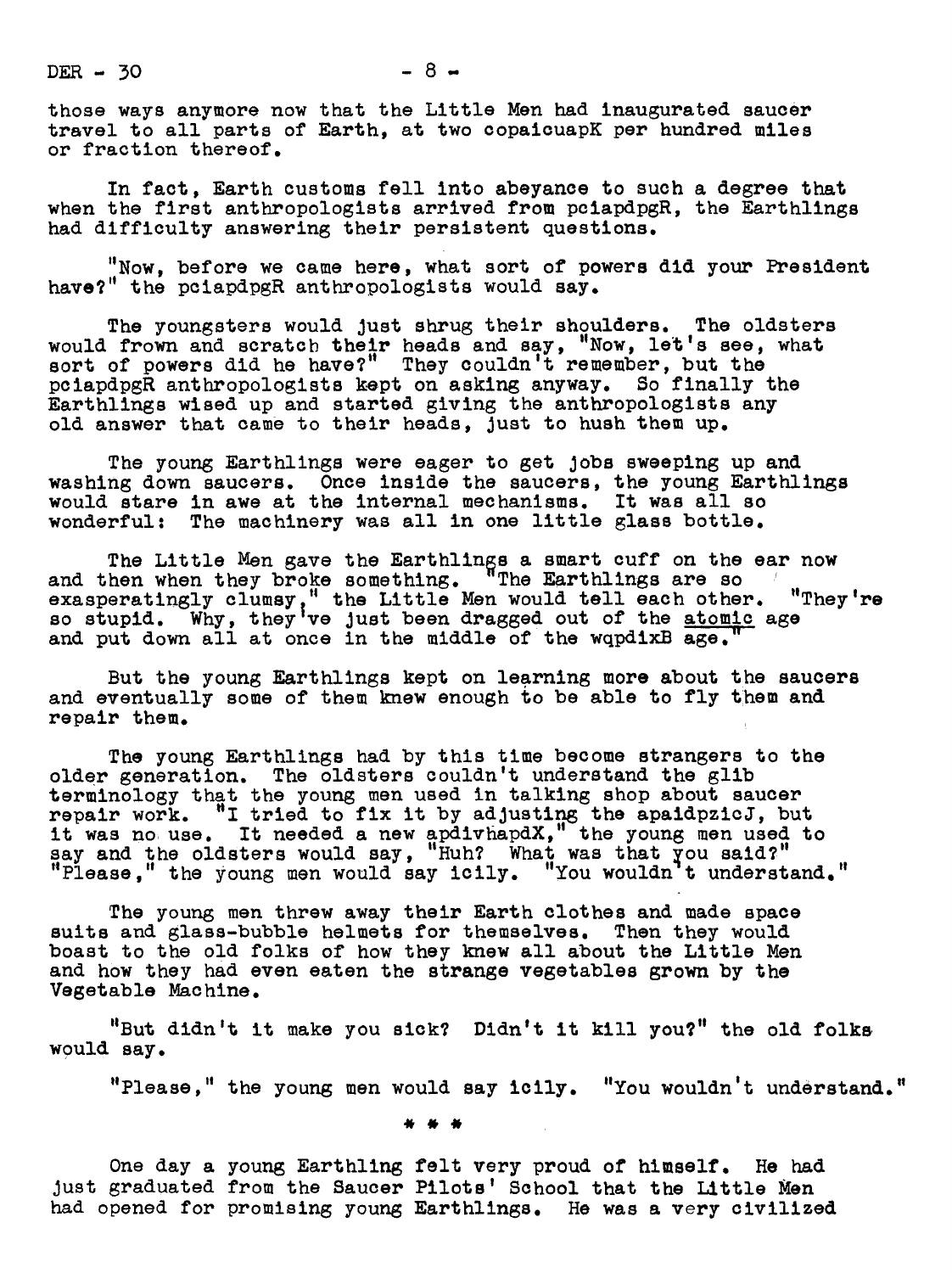$DER - 30 - 8 -$ 

those ways anymore now that the Little Men had inaugurated saucer travel to all parts of Earth, at two copaicuapK per hundred miles or fraction thereof.

In fact, Earth customs fell into abeyance to such a degree that when the first anthropologists arrived from pciapdpgR, the Earthlings had difficulty answering their persistent questions.

"Now, before we came here, what sort of powers did your President have?" the pciapdpgR anthropologists would say.

The youngsters would Just shrug their shoulders. The oldsters would frown and scratch their heads and say, "Now, let's see, what sort of powers did he have?" They couldn't remember, but the pciapdpgR anthropologists kept on asking anyway. So finally the Earthlings wised up and started giving the anthropologists any old answer that came to their heads, Just to hush them up.

The young Earthlings were eager to get Jobs sweeping up and washing down saucers. Once inside the saucers, the young Earthlings would stare in awe at the internal mechanisms. It was all so wonderful: The machinery was all in one little glass bottle.

The Little Men gave the Earthlings a smart cuff on the ear now<br>and then when they broke something. "The Earthlings are so exasperatingly clumsy," the Little Men would tell each other. "They're so stupid. Why, they've just been dragged out of the atomic age and put down all at once in the middle of the wqpdixB age.

But the young Earthlings kept on learning more about the saucers and eventually some of them knew enough to be able to fly them and repair them.

The young Earthlings had by this time become strangers to the older generation. The oldsters couldn't understand the glib terminology that the young men used in talking shop about saucer repair work. "I tried to fix it by adjusting the apaidpzicJ, but it was no use. It needed a new apdivhapdX," the young men used to say and the oldsters would say, "Huh? What was that you said?"<br>"Please " the young men would say icily "You wouldn't underst "Please," the young men would say icily. "You wouldn't understand."

The young men threw away their Earth clothes and made space suits and glass-bubble helmets for themselves. Then they would boast to the old folks of how they knew all about the Little Men and how they had even eaten the strange vegetables grown by the Vegetable Machine.

"But didn't it make you sick? Didn't it kill you?" the old folks. would say.

"Please," the young men would say icily. "You wouldn't understand."

One day a young Earthling felt very proud of himself. He had just graduated from the Saucer Pilots' School that the Little Men had opened for promising young Earthlings. He was a very civilized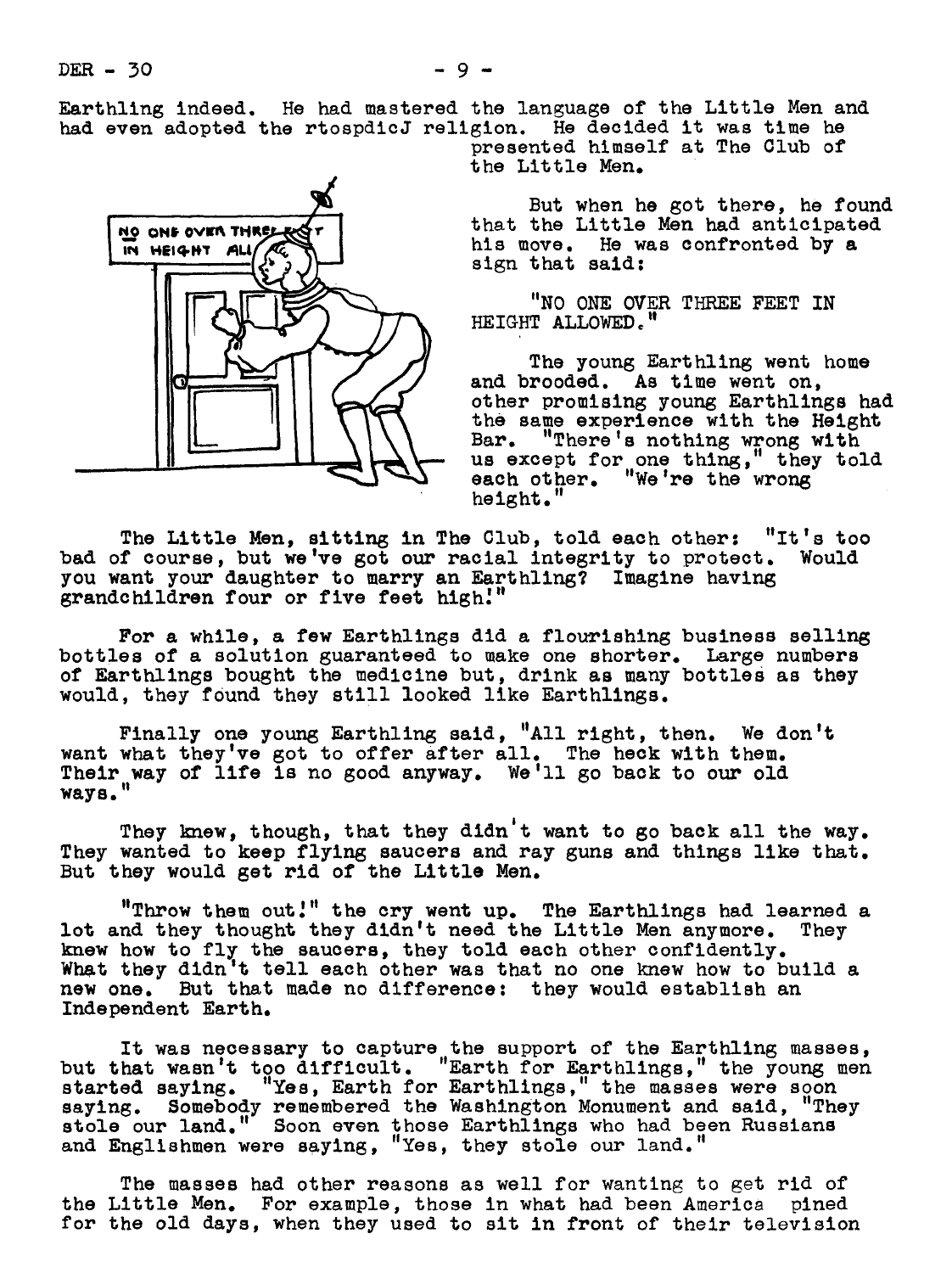Earthling indeed. He had mastered the language of the Little Men and had even adopted the rtospdicJ religion. He decided it was time he presented himself at The Club of

the Little Men.

But when he got there, he found that the Little Men had anticipated his move. He was confronted by a sign that said:

"NO ONE OVER THREE FEET IN HEIGHT ALLOWED."

**The young E** Earthling went home and brooded. As time went on, other promising young Earthlings had the same experience with the Height Bar. "There's nothing wrong with us except for one thing," they told each other. "We're the wrong height.

The Little Men, sitting in The Club, told each other: "It's too bad of course, but we've got our racial integrity to protect. Would you want your daughter to marry an Earthling? Imagine having grandchildren four or five feet high.'"

For a while, a few Earthlings did a flourishing business selling bottles of a solution guaranteed to make one shorter. Large numbers of Earthlings bought the medicine but, drink as many bottles as they would, they found they still looked like Earthlings.

Finally one young Earthling said, "All right, then. We don't want what they've got to offer after all. The heck with them. Their way of life is no good anyway. We'll go back to our old ways.

They knew, though, that they didn't want to go back all the way. They wanted to keep flying saucers and ray guns and things like that. But they would get rid of the Little Men.

"Throw them out.'" the cry went up. The Earthlings had learned a lot and they thought they didn't need the Little Men anymore. They knew how to fly the saucers, they told each other confidently. What they didn't tell each other was that no one knew how to build a new one. But that made no difference: they would establish an Independent Earth.

It was necessary to capture the support of the Earthling masses, but that wasn't too difficult. "Earth for Earthlings," the young men started saying. "Yes, Earth for Earthlings," the masses were soon saying. Somebody remembered the Washington Monument and said, "They<br>stole our land." Soon even those Earthlings who had been Russians stole our land." Soon even those Earthlings who had been Russians and Englishmen were saying, "Yes, they stole our land."

The masses had other reasons as well for wanting to get rid of the Little Men. For example, those in what had been America pined for the old days, when they used to sit in front of their television